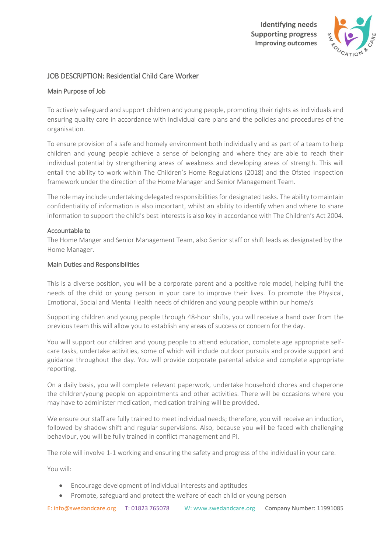

# JOB DESCRIPTION: Residential Child Care Worker

## Main Purpose of Job

To actively safeguard and support children and young people, promoting their rights as individuals and ensuring quality care in accordance with individual care plans and the policies and procedures of the organisation.

To ensure provision of a safe and homely environment both individually and as part of a team to help children and young people achieve a sense of belonging and where they are able to reach their individual potential by strengthening areas of weakness and developing areas of strength. This will entail the ability to work within The Children's Home Regulations (2018) and the Ofsted Inspection framework under the direction of the Home Manager and Senior Management Team.

The role may include undertaking delegated responsibilities for designated tasks. The ability to maintain confidentiality of information is also important, whilst an ability to identify when and where to share information to support the child's best interests is also key in accordance with The Children's Act 2004.

### Accountable to

The Home Manger and Senior Management Team, also Senior staff or shift leads as designated by the Home Manager.

### Main Duties and Responsibilities

This is a diverse position, you will be a corporate parent and a positive role model, helping fulfil the needs of the child or young person in your care to improve their lives. To promote the Physical, Emotional, Social and Mental Health needs of children and young people within our home/s

Supporting children and young people through 48-hour shifts, you will receive a hand over from the previous team this will allow you to establish any areas of success or concern for the day.

You will support our children and young people to attend education, complete age appropriate selfcare tasks, undertake activities, some of which will include outdoor pursuits and provide support and guidance throughout the day. You will provide corporate parental advice and complete appropriate reporting.

On a daily basis, you will complete relevant paperwork, undertake household chores and chaperone the children/young people on appointments and other activities. There will be occasions where you may have to administer medication, medication training will be provided.

We ensure our staff are fully trained to meet individual needs; therefore, you will receive an induction, followed by shadow shift and regular supervisions. Also, because you will be faced with challenging behaviour, you will be fully trained in conflict management and PI.

The role will involve 1-1 working and ensuring the safety and progress of the individual in your care.

You will:

- Encourage development of individual interests and aptitudes
- Promote, safeguard and protect the welfare of each child or young person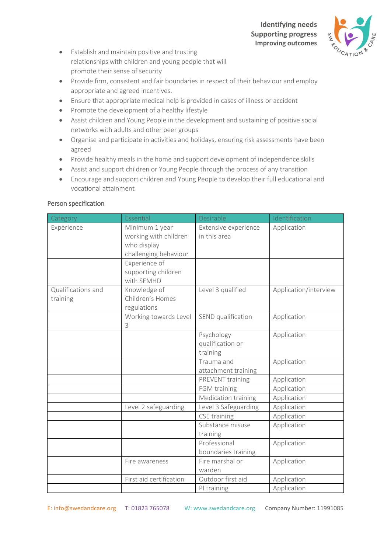

- Establish and maintain positive and trusting relationships with children and young people that will promote their sense of security
- Provide firm, consistent and fair boundaries in respect of their behaviour and employ appropriate and agreed incentives.
- Ensure that appropriate medical help is provided in cases of illness or accident
- Promote the development of a healthy lifestyle
- Assist children and Young People in the development and sustaining of positive social networks with adults and other peer groups
- Organise and participate in activities and holidays, ensuring risk assessments have been agreed
- Provide healthy meals in the home and support development of independence skills
- Assist and support children or Young People through the process of any transition
- Encourage and support children and Young People to develop their full educational and vocational attainment

### Person specification

| Category                       | Essential                                                                       | Desirable                                  | Identification        |
|--------------------------------|---------------------------------------------------------------------------------|--------------------------------------------|-----------------------|
| Experience                     | Minimum 1 year<br>working with children<br>who display<br>challenging behaviour | Extensive experience<br>in this area       | Application           |
|                                | Experience of<br>supporting children<br>with SEMHD                              |                                            |                       |
| Qualifications and<br>training | Knowledge of<br>Children's Homes<br>regulations                                 | Level 3 qualified                          | Application/interview |
|                                | Working towards Level<br>3                                                      | SEND qualification                         | Application           |
|                                |                                                                                 | Psychology<br>qualification or<br>training | Application           |
|                                |                                                                                 | Trauma and<br>attachment training          | Application           |
|                                |                                                                                 | PREVENT training                           | Application           |
|                                |                                                                                 | FGM training                               | Application           |
|                                |                                                                                 | Medication training                        | Application           |
|                                | Level 2 safeguarding                                                            | Level 3 Safeguarding                       | Application           |
|                                |                                                                                 | CSE training                               | Application           |
|                                |                                                                                 | Substance misuse<br>training               | Application           |
|                                |                                                                                 | Professional<br>boundaries training        | Application           |
|                                | Fire awareness                                                                  | Fire marshal or<br>warden                  | Application           |
|                                | First aid certification                                                         | Outdoor first aid                          | Application           |
|                                |                                                                                 | PI training                                | Application           |